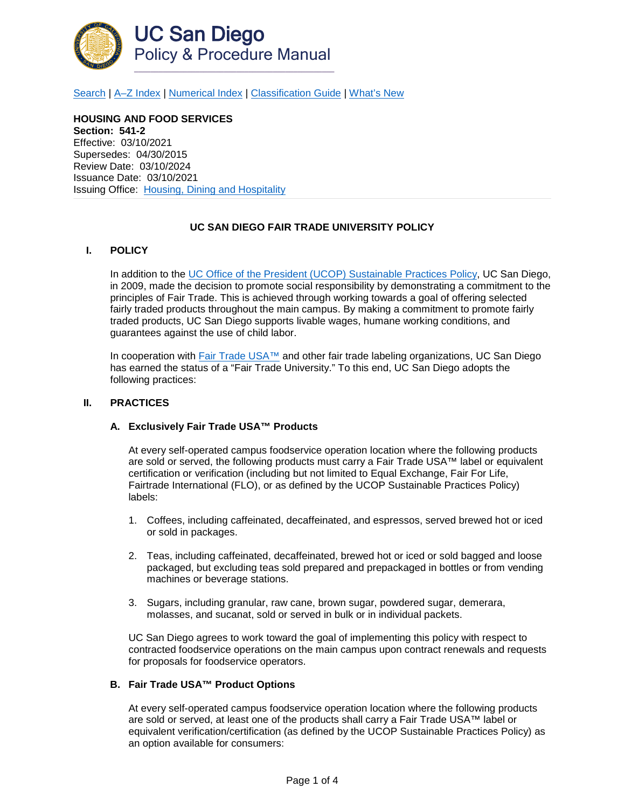

[Search](http://adminrecords.ucsd.edu/ppm/index.html) | [A–Z Index](http://adminrecords.ucsd.edu/ppm/ppmindex.html) | [Numerical Index](http://adminrecords.ucsd.edu/ppm/numerical.html) | [Classification Guide](http://adminrecords.ucsd.edu/ppm/alphabetical.html) | [What's New](http://adminrecords.ucsd.edu/ppm/whatsnew.html)

**HOUSING AND FOOD SERVICES Section: 541-2** Effective: 03/10/2021 Supersedes: 04/30/2015 Review Date: 03/10/2024 Issuance Date: 03/10/2021 Issuing Office:[Housing, Dining and Hospitality](http://hds.ucsd.edu/)

# **UC SAN DIEGO FAIR TRADE UNIVERSITY POLICY**

### **I. POLICY**

In addition to the [UC Office of the President](http://policy.ucop.edu/doc/3100155) (UCOP) Sustainable Practices Policy, UC San Diego, in 2009, made the decision to promote social responsibility by demonstrating a commitment to the principles of Fair Trade. This is achieved through working towards a goal of offering selected fairly traded products throughout the main campus. By making a commitment to promote fairly traded products, UC San Diego supports livable wages, humane working conditions, and guarantees against the use of child labor.

In cooperation with Fair Trade USA<sup>™</sup> and other fair trade labeling organizations, UC San Diego has earned the status of a "Fair Trade University." To this end, UC San Diego adopts the following practices:

#### **II. PRACTICES**

### **A. Exclusively Fair Trade USA™ Products**

At every self-operated campus foodservice operation location where the following products are sold or served, the following products must carry a Fair Trade USA™ label or equivalent certification or verification (including but not limited to Equal Exchange, Fair For Life, Fairtrade International (FLO), or as defined by the UCOP Sustainable Practices Policy) labels:

- 1. Coffees, including caffeinated, decaffeinated, and espressos, served brewed hot or iced or sold in packages.
- 2. Teas, including caffeinated, decaffeinated, brewed hot or iced or sold bagged and loose packaged, but excluding teas sold prepared and prepackaged in bottles or from vending machines or beverage stations.
- 3. Sugars, including granular, raw cane, brown sugar, powdered sugar, demerara, molasses, and sucanat, sold or served in bulk or in individual packets.

UC San Diego agrees to work toward the goal of implementing this policy with respect to contracted foodservice operations on the main campus upon contract renewals and requests for proposals for foodservice operators.

### **B. Fair Trade USA™ Product Options**

At every self-operated campus foodservice operation location where the following products are sold or served, at least one of the products shall carry a Fair Trade USA™ label or equivalent verification/certification (as defined by the UCOP Sustainable Practices Policy) as an option available for consumers: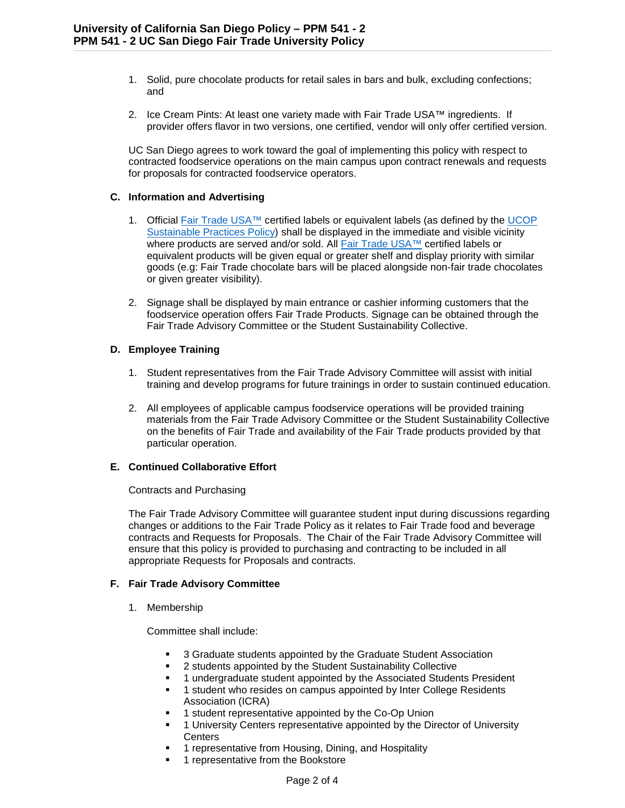- 1. Solid, pure chocolate products for retail sales in bars and bulk, excluding confections; and
- 2. Ice Cream Pints: At least one variety made with Fair Trade USA™ ingredients. If provider offers flavor in two versions, one certified, vendor will only offer certified version.

UC San Diego agrees to work toward the goal of implementing this policy with respect to contracted foodservice operations on the main campus upon contract renewals and requests for proposals for contracted foodservice operators.

# **C. Information and Advertising**

- 1. Official [Fair Trade USA™](http://www.fairtradeusa.org/) certified labels or equivalent labels (as defined by the [UCOP](http://policy.ucop.edu/doc/3100155)  [Sustainable Practices Policy\)](http://policy.ucop.edu/doc/3100155) shall be displayed in the immediate and visible vicinity where products are served and/or sold. All [Fair Trade USA™](http://www.fairtradeusa.org/) certified labels or equivalent products will be given equal or greater shelf and display priority with similar goods (e.g: Fair Trade chocolate bars will be placed alongside non-fair trade chocolates or given greater visibility).
- 2. Signage shall be displayed by main entrance or cashier informing customers that the foodservice operation offers Fair Trade Products. Signage can be obtained through the Fair Trade Advisory Committee or the Student Sustainability Collective.

### **D. Employee Training**

- 1. Student representatives from the Fair Trade Advisory Committee will assist with initial training and develop programs for future trainings in order to sustain continued education.
- 2. All employees of applicable campus foodservice operations will be provided training materials from the Fair Trade Advisory Committee or the Student Sustainability Collective on the benefits of Fair Trade and availability of the Fair Trade products provided by that particular operation.

# **E. Continued Collaborative Effort**

### Contracts and Purchasing

The Fair Trade Advisory Committee will guarantee student input during discussions regarding changes or additions to the Fair Trade Policy as it relates to Fair Trade food and beverage contracts and Requests for Proposals. The Chair of the Fair Trade Advisory Committee will ensure that this policy is provided to purchasing and contracting to be included in all appropriate Requests for Proposals and contracts.

# **F. Fair Trade Advisory Committee**

1. Membership

Committee shall include:

- 3 Graduate students appointed by the Graduate Student Association
- 2 students appointed by the Student Sustainability Collective
- 1 undergraduate student appointed by the Associated Students President
- 1 student who resides on campus appointed by Inter College Residents Association (ICRA)
- 1 student representative appointed by the Co-Op Union
- 1 University Centers representative appointed by the Director of University **Centers**
- 1 representative from Housing, Dining, and Hospitality
- 1 representative from the Bookstore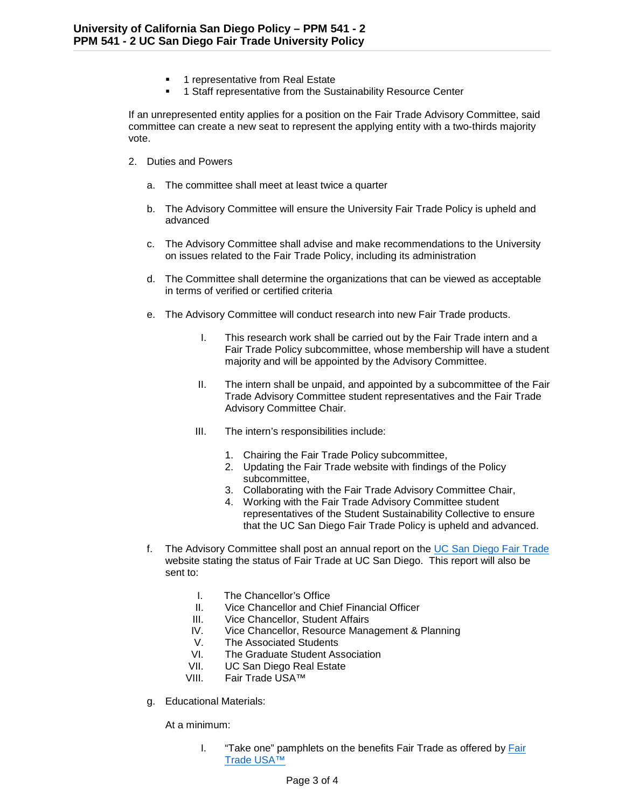- 1 representative from Real Estate
- 1 Staff representative from the Sustainability Resource Center

If an unrepresented entity applies for a position on the Fair Trade Advisory Committee, said committee can create a new seat to represent the applying entity with a two-thirds majority vote.

- 2. Duties and Powers
	- a. The committee shall meet at least twice a quarter
	- b. The Advisory Committee will ensure the University Fair Trade Policy is upheld and advanced
	- c. The Advisory Committee shall advise and make recommendations to the University on issues related to the Fair Trade Policy, including its administration
	- d. The Committee shall determine the organizations that can be viewed as acceptable in terms of verified or certified criteria
	- e. The Advisory Committee will conduct research into new Fair Trade products.
		- I. This research work shall be carried out by the Fair Trade intern and a Fair Trade Policy subcommittee, whose membership will have a student majority and will be appointed by the Advisory Committee.
		- II. The intern shall be unpaid, and appointed by a subcommittee of the Fair Trade Advisory Committee student representatives and the Fair Trade Advisory Committee Chair.
		- III. The intern's responsibilities include:
			- 1. Chairing the Fair Trade Policy subcommittee,
			- 2. Updating the Fair Trade website with findings of the Policy subcommittee,
			- 3. Collaborating with the Fair Trade Advisory Committee Chair,
			- 4. Working with the Fair Trade Advisory Committee student representatives of the Student Sustainability Collective to ensure that the UC San Diego Fair Trade Policy is upheld and advanced.
	- f. The Advisory Committee shall post an annual report on the [UC San Diego Fair Trade](https://hdhdining.ucsd.edu/sustainable/fair-trade.html) website stating the status of Fair Trade at UC San Diego. This report will also be sent to:
		- I. The Chancellor's Office
		- II. Vice Chancellor and Chief Financial Officer
		- III. Vice Chancellor, Student Affairs<br>IV. Vice Chancellor, Resource Mana
		- Vice Chancellor, Resource Management & Planning
		- V. The Associated Students
		- VI. The Graduate Student Association
		- VII. UC San Diego Real Estate
		- VIII. Fair Trade USA™
	- g. Educational Materials:

At a minimum:

I. "Take one" pamphlets on the benefits [Fair](http://www.fairtradeusa.org/) Trade as offered by Fair [Trade USA™](http://www.fairtradeusa.org/)